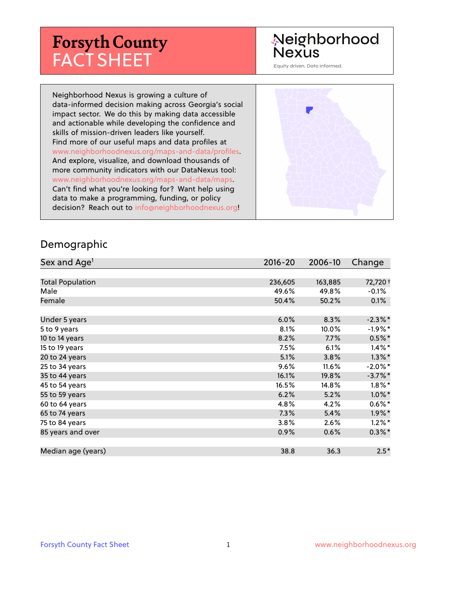# **Forsyth County** FACT SHEET

## Neighborhood Nexus

Equity driven. Data informed.

Neighborhood Nexus is growing a culture of data-informed decision making across Georgia's social impact sector. We do this by making data accessible and actionable while developing the confidence and skills of mission-driven leaders like yourself. Find more of our useful maps and data profiles at www.neighborhoodnexus.org/maps-and-data/profiles. And explore, visualize, and download thousands of more community indicators with our DataNexus tool: www.neighborhoodnexus.org/maps-and-data/maps. Can't find what you're looking for? Want help using data to make a programming, funding, or policy decision? Reach out to [info@neighborhoodnexus.org!](mailto:info@neighborhoodnexus.org)



#### Demographic

| Sex and Age <sup>1</sup> | $2016 - 20$ | 2006-10 | Change               |
|--------------------------|-------------|---------|----------------------|
|                          |             |         |                      |
| <b>Total Population</b>  | 236,605     | 163,885 | 72,720 +             |
| Male                     | 49.6%       | 49.8%   | $-0.1\%$             |
| Female                   | 50.4%       | 50.2%   | 0.1%                 |
|                          |             |         |                      |
| Under 5 years            | 6.0%        | 8.3%    | $-2.3\%$ *           |
| 5 to 9 years             | 8.1%        | 10.0%   | $-1.9\%$ *           |
| 10 to 14 years           | 8.2%        | 7.7%    | $0.5%$ *             |
| 15 to 19 years           | 7.5%        | 6.1%    | $1.4\%$ *            |
| 20 to 24 years           | 5.1%        | 3.8%    | $1.3\%$ *            |
| 25 to 34 years           | 9.6%        | 11.6%   | $-2.0\%$ *           |
| 35 to 44 years           | 16.1%       | 19.8%   | $-3.7%$ *            |
| 45 to 54 years           | 16.5%       | 14.8%   | $1.8\%$ *            |
| 55 to 59 years           | 6.2%        | 5.2%    | $1.0\%$ *            |
| 60 to 64 years           | 4.8%        | 4.2%    | $0.6\%$ *            |
| 65 to 74 years           | 7.3%        | 5.4%    | $1.9\%$ <sup>*</sup> |
| 75 to 84 years           | 3.8%        | 2.6%    | $1.2\%$ *            |
| 85 years and over        | 0.9%        | 0.6%    | $0.3\% *$            |
|                          |             |         |                      |
| Median age (years)       | 38.8        | 36.3    | $2.5*$               |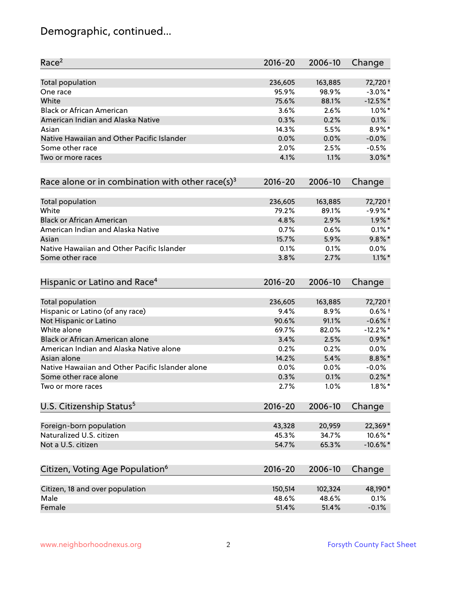## Demographic, continued...

| Race <sup>2</sup>                                   | $2016 - 20$ | 2006-10 | Change      |
|-----------------------------------------------------|-------------|---------|-------------|
| <b>Total population</b>                             | 236,605     | 163,885 | 72,720 +    |
| One race                                            | 95.9%       | 98.9%   | $-3.0\%$ *  |
| White                                               | 75.6%       | 88.1%   | $-12.5%$ *  |
| <b>Black or African American</b>                    | 3.6%        | 2.6%    | $1.0\%$ *   |
| American Indian and Alaska Native                   | 0.3%        | 0.2%    | 0.1%        |
| Asian                                               | 14.3%       | 5.5%    | 8.9%*       |
| Native Hawaiian and Other Pacific Islander          | 0.0%        | 0.0%    | $-0.0%$     |
| Some other race                                     | 2.0%        | 2.5%    | $-0.5%$     |
| Two or more races                                   | 4.1%        | 1.1%    | $3.0\%$ *   |
| Race alone or in combination with other race(s) $3$ | $2016 - 20$ | 2006-10 | Change      |
| Total population                                    | 236,605     | 163,885 | 72,720 +    |
| White                                               | 79.2%       | 89.1%   | $-9.9%$ *   |
| <b>Black or African American</b>                    | 4.8%        | 2.9%    | $1.9\%$ *   |
| American Indian and Alaska Native                   | 0.7%        | 0.6%    | $0.1\%$ *   |
| Asian                                               | 15.7%       | 5.9%    | $9.8\%$ *   |
| Native Hawaiian and Other Pacific Islander          | 0.1%        | 0.1%    | 0.0%        |
| Some other race                                     | 3.8%        | 2.7%    | $1.1\%$ *   |
| Hispanic or Latino and Race <sup>4</sup>            | $2016 - 20$ | 2006-10 | Change      |
| <b>Total population</b>                             | 236,605     | 163,885 | 72,720 +    |
| Hispanic or Latino (of any race)                    | 9.4%        | 8.9%    | $0.6%$ +    |
| Not Hispanic or Latino                              | 90.6%       | 91.1%   | $-0.6%$ †   |
| White alone                                         | 69.7%       | 82.0%   | $-12.2%$    |
| Black or African American alone                     | 3.4%        | 2.5%    | $0.9\%$ *   |
| American Indian and Alaska Native alone             | 0.2%        | 0.2%    | 0.0%        |
| Asian alone                                         | 14.2%       | 5.4%    | $8.8\%$ *   |
| Native Hawaiian and Other Pacific Islander alone    | 0.0%        | 0.0%    | $-0.0%$     |
| Some other race alone                               | 0.3%        | 0.1%    | $0.2\% *$   |
| Two or more races                                   | 2.7%        | 1.0%    | $1.8\%$ *   |
| U.S. Citizenship Status <sup>5</sup>                | $2016 - 20$ | 2006-10 | Change      |
| Foreign-born population                             | 43,328      | 20,959  | 22,369*     |
| Naturalized U.S. citizen                            | 45.3%       | 34.7%   | 10.6%*      |
| Not a U.S. citizen                                  | 54.7%       | 65.3%   | $-10.6\%$ * |
| Citizen, Voting Age Population <sup>6</sup>         | $2016 - 20$ | 2006-10 | Change      |
|                                                     |             |         |             |
| Citizen, 18 and over population                     | 150,514     | 102,324 | 48,190*     |
| Male                                                | 48.6%       | 48.6%   | 0.1%        |
| Female                                              | 51.4%       | 51.4%   | $-0.1%$     |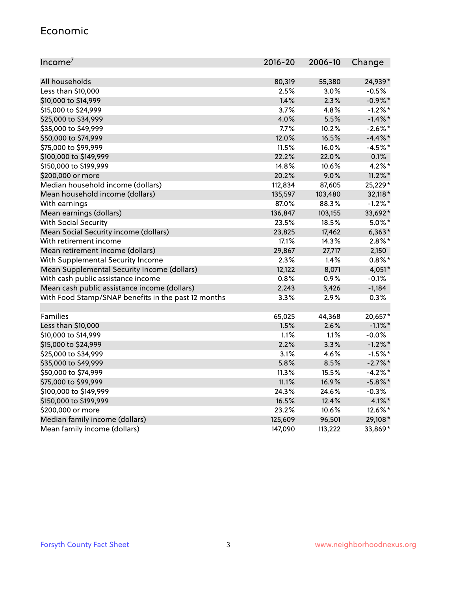#### Economic

| Income <sup>7</sup>                                 | $2016 - 20$ | 2006-10 | Change     |
|-----------------------------------------------------|-------------|---------|------------|
|                                                     |             |         |            |
| All households                                      | 80,319      | 55,380  | 24,939*    |
| Less than \$10,000                                  | 2.5%        | 3.0%    | $-0.5%$    |
| \$10,000 to \$14,999                                | 1.4%        | 2.3%    | $-0.9\%$ * |
| \$15,000 to \$24,999                                | 3.7%        | 4.8%    | $-1.2\%$ * |
| \$25,000 to \$34,999                                | 4.0%        | 5.5%    | $-1.4\%$ * |
| \$35,000 to \$49,999                                | 7.7%        | 10.2%   | $-2.6\%$ * |
| \$50,000 to \$74,999                                | 12.0%       | 16.5%   | $-4.4\%$ * |
| \$75,000 to \$99,999                                | 11.5%       | 16.0%   | $-4.5%$ *  |
| \$100,000 to \$149,999                              | 22.2%       | 22.0%   | 0.1%       |
| \$150,000 to \$199,999                              | 14.8%       | 10.6%   | $4.2\%$ *  |
| \$200,000 or more                                   | 20.2%       | 9.0%    | $11.2\%$ * |
| Median household income (dollars)                   | 112,834     | 87,605  | 25,229*    |
| Mean household income (dollars)                     | 135,597     | 103,480 | 32,118*    |
| With earnings                                       | 87.0%       | 88.3%   | $-1.2\%$ * |
| Mean earnings (dollars)                             | 136,847     | 103,155 | 33,692*    |
| <b>With Social Security</b>                         | 23.5%       | 18.5%   | $5.0\%$ *  |
| Mean Social Security income (dollars)               | 23,825      | 17,462  | $6,363*$   |
| With retirement income                              | 17.1%       | 14.3%   | $2.8\%$ *  |
| Mean retirement income (dollars)                    | 29,867      | 27,717  | 2,150      |
| With Supplemental Security Income                   | $2.3\%$     | 1.4%    | $0.8\%$ *  |
| Mean Supplemental Security Income (dollars)         | 12,122      | 8,071   | 4,051*     |
| With cash public assistance income                  | 0.8%        | 0.9%    | $-0.1%$    |
| Mean cash public assistance income (dollars)        | 2,243       | 3,426   | $-1,184$   |
| With Food Stamp/SNAP benefits in the past 12 months | 3.3%        | 2.9%    | 0.3%       |
|                                                     |             |         |            |
| Families                                            | 65,025      | 44,368  | 20,657*    |
| Less than \$10,000                                  | 1.5%        | 2.6%    | $-1.1\%$ * |
| \$10,000 to \$14,999                                | 1.1%        | 1.1%    | $-0.0%$    |
| \$15,000 to \$24,999                                | 2.2%        | 3.3%    | $-1.2\%$ * |
| \$25,000 to \$34,999                                | 3.1%        | 4.6%    | $-1.5%$ *  |
| \$35,000 to \$49,999                                | 5.8%        | 8.5%    | $-2.7\%$ * |
| \$50,000 to \$74,999                                | 11.3%       | 15.5%   | $-4.2%$ *  |
| \$75,000 to \$99,999                                | 11.1%       | 16.9%   | $-5.8\%$ * |
| \$100,000 to \$149,999                              | 24.3%       | 24.6%   | $-0.3%$    |
| \$150,000 to \$199,999                              | 16.5%       | 12.4%   | 4.1%*      |
| \$200,000 or more                                   | 23.2%       | 10.6%   | 12.6%*     |
| Median family income (dollars)                      | 125,609     | 96,501  | 29,108*    |
| Mean family income (dollars)                        | 147,090     | 113,222 | 33,869*    |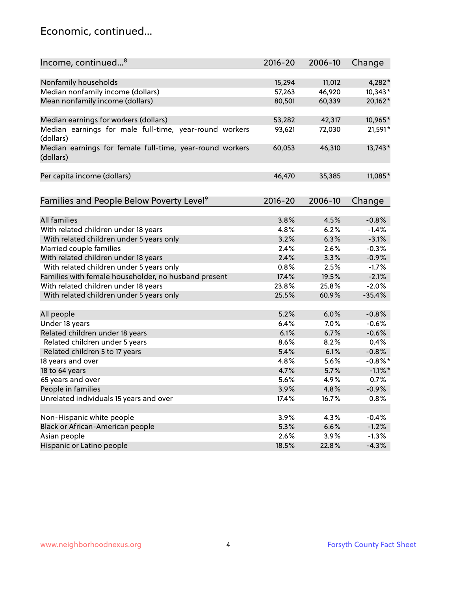### Economic, continued...

| Income, continued <sup>8</sup>                           | 2016-20 | 2006-10 | Change     |
|----------------------------------------------------------|---------|---------|------------|
|                                                          |         |         |            |
| Nonfamily households                                     | 15,294  | 11,012  | $4,282*$   |
| Median nonfamily income (dollars)                        | 57,263  | 46,920  | $10,343*$  |
| Mean nonfamily income (dollars)                          | 80,501  | 60,339  | 20,162*    |
|                                                          |         |         |            |
| Median earnings for workers (dollars)                    | 53,282  | 42,317  | 10,965*    |
| Median earnings for male full-time, year-round workers   | 93,621  | 72,030  | 21,591*    |
| (dollars)                                                |         |         |            |
| Median earnings for female full-time, year-round workers | 60,053  | 46,310  | 13,743*    |
| (dollars)                                                |         |         |            |
|                                                          |         |         |            |
| Per capita income (dollars)                              | 46,470  | 35,385  | 11,085*    |
|                                                          |         |         |            |
| Families and People Below Poverty Level <sup>9</sup>     | 2016-20 | 2006-10 | Change     |
|                                                          |         |         |            |
| <b>All families</b>                                      | 3.8%    | 4.5%    | $-0.8%$    |
| With related children under 18 years                     | 4.8%    | 6.2%    | $-1.4%$    |
| With related children under 5 years only                 | 3.2%    | 6.3%    | $-3.1%$    |
| Married couple families                                  | 2.4%    | 2.6%    | $-0.3%$    |
| With related children under 18 years                     | 2.4%    | 3.3%    | $-0.9%$    |
| With related children under 5 years only                 | 0.8%    | 2.5%    | $-1.7%$    |
| Families with female householder, no husband present     | 17.4%   | 19.5%   | $-2.1%$    |
| With related children under 18 years                     | 23.8%   | 25.8%   | $-2.0%$    |
| With related children under 5 years only                 | 25.5%   | 60.9%   | $-35.4%$   |
|                                                          |         |         |            |
| All people                                               | 5.2%    | 6.0%    | $-0.8%$    |
| Under 18 years                                           | 6.4%    | 7.0%    | $-0.6%$    |
| Related children under 18 years                          | 6.1%    | 6.7%    | $-0.6%$    |
| Related children under 5 years                           | 8.6%    | 8.2%    | 0.4%       |
| Related children 5 to 17 years                           | 5.4%    | 6.1%    | $-0.8%$    |
| 18 years and over                                        | 4.8%    | 5.6%    | $-0.8\%$ * |
| 18 to 64 years                                           | 4.7%    | 5.7%    | $-1.1\%$ * |
| 65 years and over                                        | 5.6%    | 4.9%    | 0.7%       |
| People in families                                       | 3.9%    | 4.8%    | $-0.9%$    |
| Unrelated individuals 15 years and over                  | 17.4%   | 16.7%   | 0.8%       |
|                                                          |         |         |            |
| Non-Hispanic white people                                | 3.9%    | 4.3%    | $-0.4%$    |
| Black or African-American people                         | 5.3%    | 6.6%    | $-1.2%$    |
| Asian people                                             | 2.6%    | 3.9%    | $-1.3%$    |
| Hispanic or Latino people                                | 18.5%   | 22.8%   | $-4.3%$    |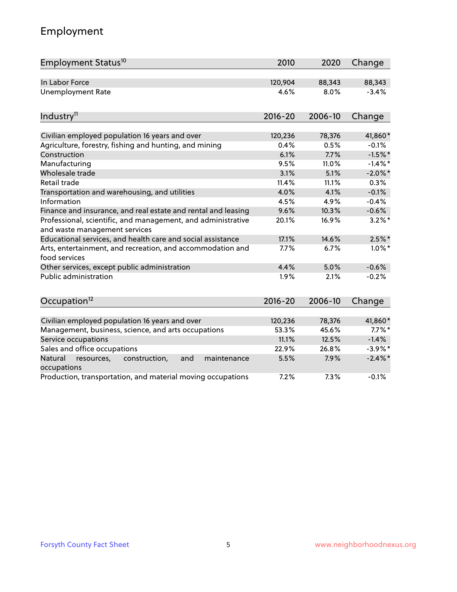## Employment

| Employment Status <sup>10</sup>                                                               | 2010        | 2020    | Change     |
|-----------------------------------------------------------------------------------------------|-------------|---------|------------|
| In Labor Force                                                                                | 120,904     | 88,343  | 88,343     |
| <b>Unemployment Rate</b>                                                                      | 4.6%        | 8.0%    | $-3.4%$    |
| Industry <sup>11</sup>                                                                        | $2016 - 20$ | 2006-10 | Change     |
| Civilian employed population 16 years and over                                                | 120,236     | 78,376  | 41,860*    |
| Agriculture, forestry, fishing and hunting, and mining                                        | 0.4%        | 0.5%    | $-0.1%$    |
| Construction                                                                                  | 6.1%        | 7.7%    | $-1.5%$ *  |
| Manufacturing                                                                                 | 9.5%        | 11.0%   | $-1.4\%$ * |
| Wholesale trade                                                                               | 3.1%        | 5.1%    | $-2.0\%$ * |
| Retail trade                                                                                  | 11.4%       | 11.1%   | 0.3%       |
| Transportation and warehousing, and utilities                                                 | 4.0%        | 4.1%    | $-0.1%$    |
| Information                                                                                   | 4.5%        | 4.9%    | $-0.4%$    |
| Finance and insurance, and real estate and rental and leasing                                 | 9.6%        | 10.3%   | $-0.6%$    |
| Professional, scientific, and management, and administrative<br>and waste management services | 20.1%       | 16.9%   | $3.2\%$ *  |
| Educational services, and health care and social assistance                                   | 17.1%       | 14.6%   | $2.5\%$ *  |
| Arts, entertainment, and recreation, and accommodation and<br>food services                   | 7.7%        | 6.7%    | $1.0\%$ *  |
| Other services, except public administration                                                  | 4.4%        | 5.0%    | $-0.6%$    |
| <b>Public administration</b>                                                                  | 1.9%        | 2.1%    | $-0.2%$    |
| Occupation <sup>12</sup>                                                                      | $2016 - 20$ | 2006-10 | Change     |
|                                                                                               |             |         |            |
| Civilian employed population 16 years and over                                                | 120,236     | 78,376  | 41,860*    |
| Management, business, science, and arts occupations                                           | 53.3%       | 45.6%   | $7.7\%$ *  |
| Service occupations                                                                           | 11.1%       | 12.5%   | $-1.4%$    |
| Sales and office occupations                                                                  | 22.9%       | 26.8%   | $-3.9%$ *  |
| Natural<br>construction,<br>and<br>maintenance<br>resources,<br>occupations                   | 5.5%        | 7.9%    | $-2.4\%$ * |
| Production, transportation, and material moving occupations                                   | 7.2%        | 7.3%    | $-0.1%$    |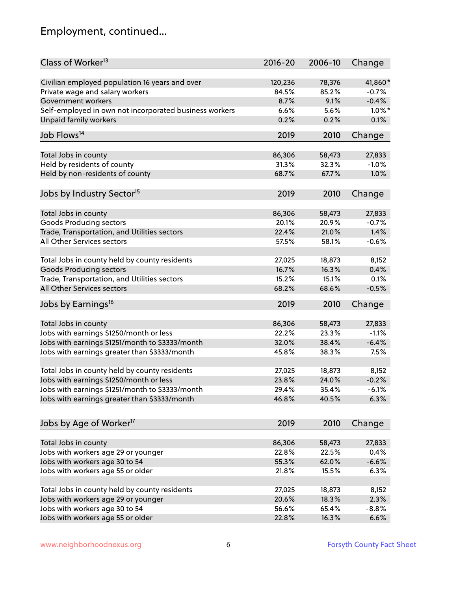## Employment, continued...

| Class of Worker <sup>13</sup>                          | 2016-20 | 2006-10 | Change    |
|--------------------------------------------------------|---------|---------|-----------|
| Civilian employed population 16 years and over         | 120,236 | 78,376  | 41,860*   |
| Private wage and salary workers                        | 84.5%   | 85.2%   | $-0.7%$   |
| Government workers                                     | 8.7%    | 9.1%    | $-0.4%$   |
| Self-employed in own not incorporated business workers | 6.6%    | 5.6%    | $1.0\%$ * |
| Unpaid family workers                                  | 0.2%    | 0.2%    | 0.1%      |
| Job Flows <sup>14</sup>                                | 2019    | 2010    | Change    |
|                                                        |         |         |           |
| Total Jobs in county                                   | 86,306  | 58,473  | 27,833    |
| Held by residents of county                            | 31.3%   | 32.3%   | $-1.0%$   |
| Held by non-residents of county                        | 68.7%   | 67.7%   | 1.0%      |
| Jobs by Industry Sector <sup>15</sup>                  | 2019    | 2010    | Change    |
|                                                        |         |         |           |
| Total Jobs in county                                   | 86,306  | 58,473  | 27,833    |
| Goods Producing sectors                                | 20.1%   | 20.9%   | $-0.7%$   |
| Trade, Transportation, and Utilities sectors           | 22.4%   | 21.0%   | 1.4%      |
| All Other Services sectors                             | 57.5%   | 58.1%   | $-0.6%$   |
| Total Jobs in county held by county residents          | 27,025  | 18,873  | 8,152     |
| <b>Goods Producing sectors</b>                         | 16.7%   | 16.3%   | 0.4%      |
| Trade, Transportation, and Utilities sectors           | 15.2%   | 15.1%   | 0.1%      |
| All Other Services sectors                             | 68.2%   | 68.6%   | $-0.5%$   |
| Jobs by Earnings <sup>16</sup>                         | 2019    | 2010    | Change    |
|                                                        |         |         |           |
| Total Jobs in county                                   | 86,306  | 58,473  | 27,833    |
| Jobs with earnings \$1250/month or less                | 22.2%   | 23.3%   | $-1.1%$   |
| Jobs with earnings \$1251/month to \$3333/month        | 32.0%   | 38.4%   | $-6.4%$   |
| Jobs with earnings greater than \$3333/month           | 45.8%   | 38.3%   | 7.5%      |
| Total Jobs in county held by county residents          | 27,025  | 18,873  | 8,152     |
| Jobs with earnings \$1250/month or less                | 23.8%   | 24.0%   | $-0.2%$   |
| Jobs with earnings \$1251/month to \$3333/month        | 29.4%   | 35.4%   | $-6.1\%$  |
| Jobs with earnings greater than \$3333/month           | 46.8%   | 40.5%   | 6.3%      |
|                                                        |         |         |           |
| Jobs by Age of Worker <sup>17</sup>                    | 2019    | 2010    | Change    |
|                                                        |         |         |           |
| Total Jobs in county                                   | 86,306  | 58,473  | 27,833    |
| Jobs with workers age 29 or younger                    | 22.8%   | 22.5%   | 0.4%      |
| Jobs with workers age 30 to 54                         | 55.3%   | 62.0%   | $-6.6%$   |
| Jobs with workers age 55 or older                      | 21.8%   | 15.5%   | 6.3%      |
| Total Jobs in county held by county residents          | 27,025  | 18,873  | 8,152     |
| Jobs with workers age 29 or younger                    | 20.6%   | 18.3%   | 2.3%      |
| Jobs with workers age 30 to 54                         | 56.6%   | 65.4%   | $-8.8%$   |
| Jobs with workers age 55 or older                      | 22.8%   | 16.3%   | 6.6%      |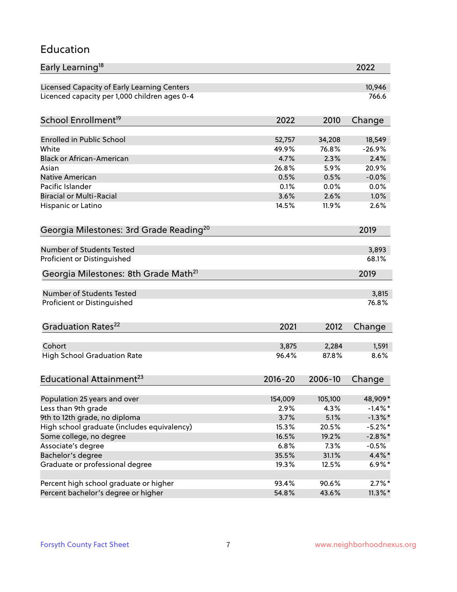### Education

| Early Learning <sup>18</sup>                        |              |              | 2022         |
|-----------------------------------------------------|--------------|--------------|--------------|
| Licensed Capacity of Early Learning Centers         |              |              | 10,946       |
| Licenced capacity per 1,000 children ages 0-4       |              |              | 766.6        |
| School Enrollment <sup>19</sup>                     | 2022         | 2010         | Change       |
|                                                     |              |              |              |
| <b>Enrolled in Public School</b>                    | 52,757       | 34,208       | 18,549       |
| White                                               | 49.9%        | 76.8%        | $-26.9%$     |
| <b>Black or African-American</b>                    | 4.7%         | 2.3%         | 2.4%         |
| Asian                                               | 26.8%        | 5.9%         | 20.9%        |
| <b>Native American</b><br>Pacific Islander          | 0.5%         | 0.5%         | $-0.0%$      |
| <b>Biracial or Multi-Racial</b>                     | 0.1%<br>3.6% | 0.0%<br>2.6% | 0.0%<br>1.0% |
|                                                     |              |              |              |
| Hispanic or Latino                                  | 14.5%        | 11.9%        | 2.6%         |
| Georgia Milestones: 3rd Grade Reading <sup>20</sup> |              |              | 2019         |
| Number of Students Tested                           |              |              | 3,893        |
| Proficient or Distinguished                         |              |              | 68.1%        |
| Georgia Milestones: 8th Grade Math <sup>21</sup>    |              |              | 2019         |
| Number of Students Tested                           |              |              | 3,815        |
| Proficient or Distinguished                         |              |              | 76.8%        |
|                                                     |              |              |              |
| Graduation Rates <sup>22</sup>                      | 2021         | 2012         | Change       |
| Cohort                                              | 3,875        | 2,284        | 1,591        |
| <b>High School Graduation Rate</b>                  | 96.4%        | 87.8%        | 8.6%         |
| Educational Attainment <sup>23</sup>                | $2016 - 20$  | 2006-10      | Change       |
|                                                     |              |              |              |
| Population 25 years and over                        | 154,009      | 105,100      | 48,909*      |
| Less than 9th grade                                 | 2.9%         | 4.3%         | $-1.4\%$ *   |
| 9th to 12th grade, no diploma                       | 3.7%         | 5.1%         | $-1.3\%$ *   |
| High school graduate (includes equivalency)         | 15.3%        | 20.5%        | $-5.2\%$ *   |
| Some college, no degree                             | 16.5%        | 19.2%        | $-2.8\%$ *   |
| Associate's degree                                  | 6.8%         | 7.3%         | $-0.5%$      |
| Bachelor's degree                                   | 35.5%        | 31.1%        | 4.4%*        |
| Graduate or professional degree                     | 19.3%        | 12.5%        | $6.9\%*$     |
| Percent high school graduate or higher              | 93.4%        | 90.6%        | $2.7\%$ *    |
| Percent bachelor's degree or higher                 | 54.8%        | 43.6%        | $11.3\%$ *   |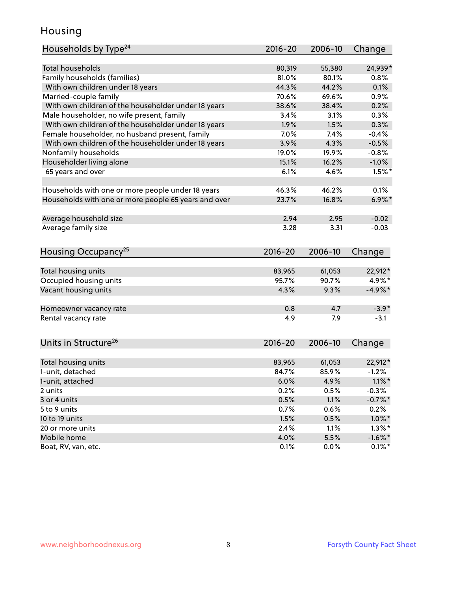### Housing

| Households by Type <sup>24</sup>                     | 2016-20     | 2006-10 | Change     |
|------------------------------------------------------|-------------|---------|------------|
|                                                      |             |         |            |
| <b>Total households</b>                              | 80,319      | 55,380  | 24,939*    |
| Family households (families)                         | 81.0%       | 80.1%   | 0.8%       |
| With own children under 18 years                     | 44.3%       | 44.2%   | 0.1%       |
| Married-couple family                                | 70.6%       | 69.6%   | 0.9%       |
| With own children of the householder under 18 years  | 38.6%       | 38.4%   | 0.2%       |
| Male householder, no wife present, family            | 3.4%        | 3.1%    | 0.3%       |
| With own children of the householder under 18 years  | 1.9%        | 1.5%    | 0.3%       |
| Female householder, no husband present, family       | 7.0%        | 7.4%    | $-0.4%$    |
| With own children of the householder under 18 years  | 3.9%        | 4.3%    | $-0.5%$    |
| Nonfamily households                                 | 19.0%       | 19.9%   | $-0.8%$    |
| Householder living alone                             | 15.1%       | 16.2%   | $-1.0%$    |
| 65 years and over                                    | 6.1%        | 4.6%    | $1.5%$ *   |
|                                                      |             |         |            |
| Households with one or more people under 18 years    | 46.3%       | 46.2%   | 0.1%       |
| Households with one or more people 65 years and over | 23.7%       | 16.8%   | $6.9\%$ *  |
| Average household size                               | 2.94        | 2.95    | $-0.02$    |
| Average family size                                  | 3.28        | 3.31    | $-0.03$    |
|                                                      |             |         |            |
| Housing Occupancy <sup>25</sup>                      | 2016-20     | 2006-10 | Change     |
|                                                      |             |         |            |
| Total housing units                                  | 83,965      | 61,053  | 22,912*    |
| Occupied housing units                               | 95.7%       | 90.7%   | 4.9%*      |
| Vacant housing units                                 | 4.3%        | 9.3%    | $-4.9%$ *  |
| Homeowner vacancy rate                               | 0.8         | 4.7     | $-3.9*$    |
| Rental vacancy rate                                  | 4.9         | 7.9     | $-3.1$     |
|                                                      |             |         |            |
| Units in Structure <sup>26</sup>                     | $2016 - 20$ | 2006-10 | Change     |
| Total housing units                                  | 83,965      | 61,053  | 22,912*    |
| 1-unit, detached                                     | 84.7%       | 85.9%   | $-1.2%$    |
| 1-unit, attached                                     | 6.0%        | 4.9%    | $1.1\%$ *  |
| 2 units                                              | 0.2%        | 0.5%    | $-0.3%$    |
| 3 or 4 units                                         | 0.5%        | 1.1%    | $-0.7%$ *  |
| 5 to 9 units                                         | 0.7%        | 0.6%    | 0.2%       |
| 10 to 19 units                                       | 1.5%        | 0.5%    | $1.0\%$ *  |
| 20 or more units                                     | 2.4%        | 1.1%    | $1.3\%$ *  |
| Mobile home                                          | 4.0%        | 5.5%    | $-1.6\%$ * |
| Boat, RV, van, etc.                                  | 0.1%        | 0.0%    | $0.1\%$ *  |
|                                                      |             |         |            |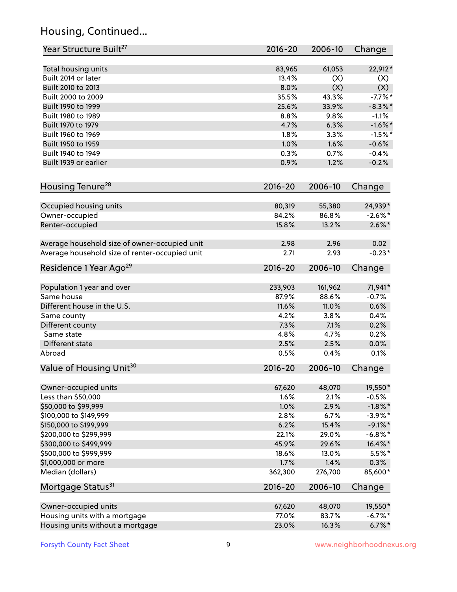## Housing, Continued...

| Year Structure Built <sup>27</sup>             | 2016-20 | 2006-10 | Change     |
|------------------------------------------------|---------|---------|------------|
| Total housing units                            | 83,965  | 61,053  | 22,912*    |
| Built 2014 or later                            | 13.4%   | (X)     | (X)        |
| Built 2010 to 2013                             | 8.0%    | (X)     | (X)        |
| Built 2000 to 2009                             | 35.5%   | 43.3%   | $-7.7\%$ * |
| Built 1990 to 1999                             | 25.6%   | 33.9%   | $-8.3\%$ * |
| Built 1980 to 1989                             | 8.8%    | 9.8%    | $-1.1%$    |
| Built 1970 to 1979                             | 4.7%    | 6.3%    | $-1.6\%$ * |
| Built 1960 to 1969                             | 1.8%    | 3.3%    | $-1.5%$ *  |
| Built 1950 to 1959                             | 1.0%    | 1.6%    | $-0.6%$    |
| Built 1940 to 1949                             | 0.3%    | 0.7%    | $-0.4%$    |
| Built 1939 or earlier                          | 0.9%    | 1.2%    | $-0.2%$    |
|                                                |         |         |            |
| Housing Tenure <sup>28</sup>                   | 2016-20 | 2006-10 | Change     |
| Occupied housing units                         | 80,319  | 55,380  | 24,939*    |
| Owner-occupied                                 | 84.2%   | 86.8%   | $-2.6\%$ * |
| Renter-occupied                                | 15.8%   | 13.2%   | $2.6\%$ *  |
| Average household size of owner-occupied unit  | 2.98    | 2.96    | 0.02       |
| Average household size of renter-occupied unit | 2.71    | 2.93    | $-0.23*$   |
| Residence 1 Year Ago <sup>29</sup>             | 2016-20 | 2006-10 | Change     |
|                                                |         |         |            |
| Population 1 year and over                     | 233,903 | 161,962 | 71,941*    |
| Same house                                     | 87.9%   | 88.6%   | $-0.7%$    |
| Different house in the U.S.                    | 11.6%   | 11.0%   | 0.6%       |
| Same county                                    | 4.2%    | 3.8%    | 0.4%       |
| Different county                               | 7.3%    | 7.1%    | 0.2%       |
| Same state                                     | 4.8%    | 4.7%    | 0.2%       |
| Different state                                | 2.5%    | 2.5%    | 0.0%       |
| Abroad                                         | 0.5%    | 0.4%    | 0.1%       |
| Value of Housing Unit <sup>30</sup>            | 2016-20 | 2006-10 | Change     |
|                                                |         |         |            |
| Owner-occupied units                           | 67,620  | 48,070  | 19,550*    |
| Less than \$50,000                             | 1.6%    | 2.1%    | $-0.5%$    |
| \$50,000 to \$99,999                           | 1.0%    | 2.9%    | $-1.8\%$ * |
| \$100,000 to \$149,999                         | 2.8%    | 6.7%    | $-3.9\%$ * |
| \$150,000 to \$199,999                         | 6.2%    | 15.4%   | $-9.1\%$ * |
| \$200,000 to \$299,999                         | 22.1%   | 29.0%   | $-6.8\%$ * |
| \$300,000 to \$499,999                         | 45.9%   | 29.6%   | 16.4%*     |
| \$500,000 to \$999,999                         | 18.6%   | 13.0%   | $5.5\%$ *  |
| \$1,000,000 or more                            | 1.7%    | 1.4%    | 0.3%       |
| Median (dollars)                               | 362,300 | 276,700 | 85,600*    |
| Mortgage Status <sup>31</sup>                  | 2016-20 | 2006-10 | Change     |
| Owner-occupied units                           | 67,620  | 48,070  | 19,550*    |
| Housing units with a mortgage                  | 77.0%   | 83.7%   | $-6.7%$ *  |
| Housing units without a mortgage               | 23.0%   | 16.3%   | $6.7\%$ *  |
|                                                |         |         |            |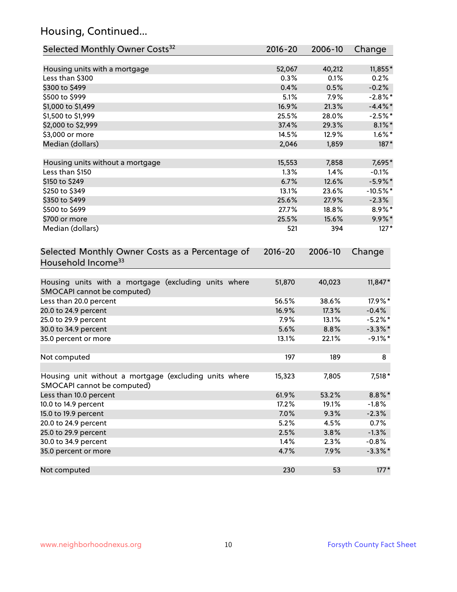## Housing, Continued...

| Selected Monthly Owner Costs <sup>32</sup>                                            | $2016 - 20$ | 2006-10 | Change     |
|---------------------------------------------------------------------------------------|-------------|---------|------------|
| Housing units with a mortgage                                                         | 52,067      | 40,212  | 11,855*    |
| Less than \$300                                                                       | 0.3%        | 0.1%    | 0.2%       |
| \$300 to \$499                                                                        | 0.4%        | 0.5%    | $-0.2%$    |
| \$500 to \$999                                                                        | 5.1%        | 7.9%    | $-2.8\%$ * |
| \$1,000 to \$1,499                                                                    | 16.9%       | 21.3%   | $-4.4\%$ * |
| \$1,500 to \$1,999                                                                    | 25.5%       | 28.0%   | $-2.5%$ *  |
| \$2,000 to \$2,999                                                                    | 37.4%       | 29.3%   | $8.1\%$ *  |
| \$3,000 or more                                                                       | 14.5%       | 12.9%   | $1.6\%$ *  |
| Median (dollars)                                                                      | 2,046       | 1,859   | $187*$     |
| Housing units without a mortgage                                                      | 15,553      | 7,858   | 7,695*     |
| Less than \$150                                                                       | 1.3%        | 1.4%    | $-0.1%$    |
| \$150 to \$249                                                                        | 6.7%        | 12.6%   | $-5.9\%$ * |
| \$250 to \$349                                                                        | 13.1%       | 23.6%   | $-10.5%$ * |
| \$350 to \$499                                                                        | 25.6%       | 27.9%   | $-2.3%$    |
| \$500 to \$699                                                                        | 27.7%       | 18.8%   | 8.9%*      |
| \$700 or more                                                                         | 25.5%       | 15.6%   | 9.9%*      |
| Median (dollars)                                                                      | 521         | 394     | $127*$     |
| Selected Monthly Owner Costs as a Percentage of<br>Household Income <sup>33</sup>     | $2016 - 20$ | 2006-10 | Change     |
| Housing units with a mortgage (excluding units where<br>SMOCAPI cannot be computed)   | 51,870      | 40,023  | $11,847*$  |
| Less than 20.0 percent                                                                | 56.5%       | 38.6%   | 17.9%*     |
| 20.0 to 24.9 percent                                                                  | 16.9%       | 17.3%   | $-0.4%$    |
| 25.0 to 29.9 percent                                                                  | 7.9%        | 13.1%   | $-5.2\%$ * |
| 30.0 to 34.9 percent                                                                  | 5.6%        | 8.8%    | $-3.3\%$ * |
| 35.0 percent or more                                                                  | 13.1%       | 22.1%   | $-9.1\%$ * |
| Not computed                                                                          | 197         | 189     | 8          |
| Housing unit without a mortgage (excluding units where<br>SMOCAPI cannot be computed) | 15,323      | 7,805   | 7,518 *    |
| Less than 10.0 percent                                                                | 61.9%       | 53.2%   | $8.8\%$ *  |
| 10.0 to 14.9 percent                                                                  | 17.2%       | 19.1%   | $-1.8%$    |
| 15.0 to 19.9 percent                                                                  | 7.0%        | 9.3%    | $-2.3%$    |
| 20.0 to 24.9 percent                                                                  | 5.2%        | 4.5%    | 0.7%       |
| 25.0 to 29.9 percent                                                                  | 2.5%        | 3.8%    | $-1.3%$    |
| 30.0 to 34.9 percent                                                                  | 1.4%        | 2.3%    | $-0.8%$    |
| 35.0 percent or more                                                                  | 4.7%        | 7.9%    | $-3.3\%$ * |
| Not computed                                                                          | 230         | 53      | $177*$     |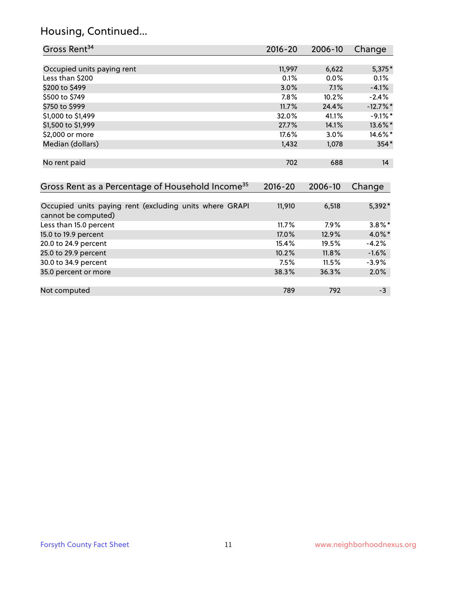## Housing, Continued...

| Gross Rent <sup>34</sup>                                                       | 2016-20     | 2006-10 | Change     |
|--------------------------------------------------------------------------------|-------------|---------|------------|
|                                                                                |             |         |            |
| Occupied units paying rent                                                     | 11,997      | 6,622   | 5,375*     |
| Less than \$200                                                                | 0.1%        | 0.0%    | 0.1%       |
| \$200 to \$499                                                                 | 3.0%        | 7.1%    | $-4.1%$    |
| \$500 to \$749                                                                 | 7.8%        | 10.2%   | $-2.4%$    |
| \$750 to \$999                                                                 | 11.7%       | 24.4%   | $-12.7%$ * |
| \$1,000 to \$1,499                                                             | 32.0%       | 41.1%   | $-9.1\%$ * |
| \$1,500 to \$1,999                                                             | 27.7%       | 14.1%   | 13.6%*     |
| \$2,000 or more                                                                | 17.6%       | 3.0%    | 14.6%*     |
| Median (dollars)                                                               | 1,432       | 1,078   | 354*       |
|                                                                                |             |         |            |
| No rent paid                                                                   | 702         | 688     | 14         |
|                                                                                |             |         |            |
| Gross Rent as a Percentage of Household Income <sup>35</sup>                   | $2016 - 20$ | 2006-10 | Change     |
|                                                                                |             |         |            |
| Occupied units paying rent (excluding units where GRAPI<br>cannot be computed) | 11,910      | 6,518   | 5,392*     |
| Less than 15.0 percent                                                         | 11.7%       | 7.9%    | $3.8\%$ *  |
| 15.0 to 19.9 percent                                                           | 17.0%       | 12.9%   | 4.0%*      |
| 20.0 to 24.9 percent                                                           | 15.4%       | 19.5%   | $-4.2%$    |
| 25.0 to 29.9 percent                                                           | 10.2%       | 11.8%   | $-1.6%$    |
| 30.0 to 34.9 percent                                                           | 7.5%        | 11.5%   | $-3.9%$    |
| 35.0 percent or more                                                           | 38.3%       | 36.3%   | 2.0%       |
|                                                                                |             |         |            |
| Not computed                                                                   |             |         |            |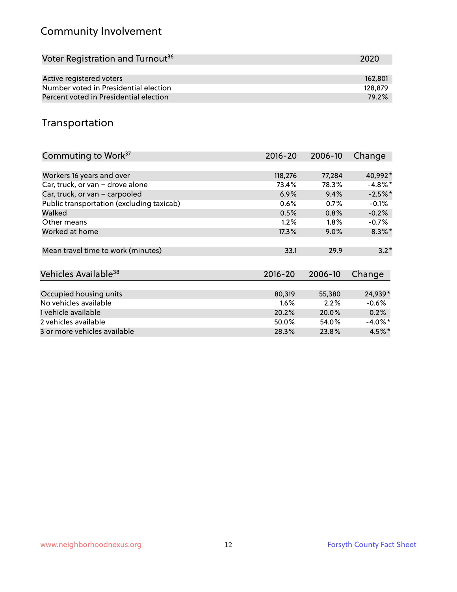## Community Involvement

| Voter Registration and Turnout <sup>36</sup> | 2020    |
|----------------------------------------------|---------|
|                                              |         |
| Active registered voters                     | 162,801 |
| Number voted in Presidential election        | 128,879 |
| Percent voted in Presidential election       | 79.2%   |

## Transportation

| Commuting to Work <sup>37</sup>           | 2016-20     | 2006-10 | Change     |
|-------------------------------------------|-------------|---------|------------|
|                                           |             |         |            |
| Workers 16 years and over                 | 118,276     | 77,284  | 40,992*    |
| Car, truck, or van - drove alone          | 73.4%       | 78.3%   | $-4.8\%$ * |
| Car, truck, or van - carpooled            | 6.9%        | 9.4%    | $-2.5%$ *  |
| Public transportation (excluding taxicab) | 0.6%        | 0.7%    | $-0.1%$    |
| Walked                                    | 0.5%        | 0.8%    | $-0.2%$    |
| Other means                               | 1.2%        | 1.8%    | $-0.7\%$   |
| Worked at home                            | 17.3%       | $9.0\%$ | $8.3\%$ *  |
|                                           |             |         |            |
| Mean travel time to work (minutes)        | 33.1        | 29.9    | $3.2*$     |
|                                           |             |         |            |
| Vehicles Available <sup>38</sup>          | $2016 - 20$ | 2006-10 | Change     |
|                                           |             |         |            |
| Occupied housing units                    | 80,319      | 55,380  | 24,939*    |
| No vehicles available                     | $1.6\%$     | 2.2%    | $-0.6%$    |
| 1 vehicle available                       | 20.2%       | 20.0%   | 0.2%       |
| 2 vehicles available                      | 50.0%       | 54.0%   | $-4.0\%$ * |
| 3 or more vehicles available              | 28.3%       | 23.8%   | $4.5\%$ *  |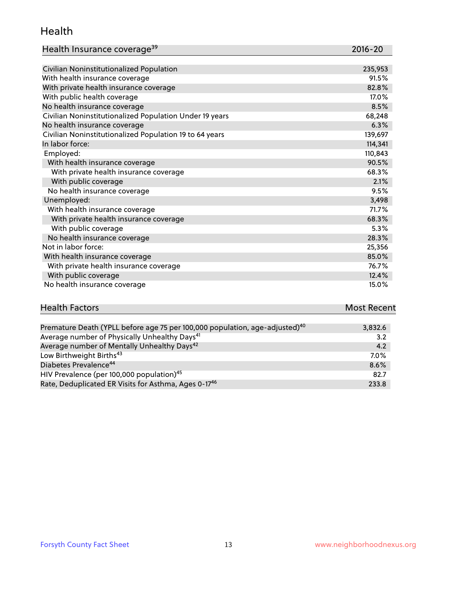#### Health

| Health Insurance coverage <sup>39</sup> | 2016-20 |
|-----------------------------------------|---------|
|                                         |         |

| Civilian Noninstitutionalized Population                | 235,953 |
|---------------------------------------------------------|---------|
| With health insurance coverage                          | 91.5%   |
| With private health insurance coverage                  | 82.8%   |
| With public health coverage                             | 17.0%   |
| No health insurance coverage                            | 8.5%    |
| Civilian Noninstitutionalized Population Under 19 years | 68,248  |
| No health insurance coverage                            | 6.3%    |
| Civilian Noninstitutionalized Population 19 to 64 years | 139,697 |
| In labor force:                                         | 114,341 |
| Employed:                                               | 110,843 |
| With health insurance coverage                          | 90.5%   |
| With private health insurance coverage                  | 68.3%   |
| With public coverage                                    | 2.1%    |
| No health insurance coverage                            | 9.5%    |
| Unemployed:                                             | 3,498   |
| With health insurance coverage                          | 71.7%   |
| With private health insurance coverage                  | 68.3%   |
| With public coverage                                    | 5.3%    |
| No health insurance coverage                            | 28.3%   |
| Not in labor force:                                     | 25,356  |
| With health insurance coverage                          | 85.0%   |
| With private health insurance coverage                  | 76.7%   |
| With public coverage                                    | 12.4%   |
| No health insurance coverage                            | 15.0%   |

## **Health Factors Most Recent** Premature Death (YPLL before age 75 per 100,000 population, age-adjusted)<sup>40</sup> 3,832.6

| Average number of Physically Unhealthy Days <sup>41</sup>        | 3.2     |
|------------------------------------------------------------------|---------|
| Average number of Mentally Unhealthy Days <sup>42</sup>          | 4.2     |
| Low Birthweight Births <sup>43</sup>                             | $7.0\%$ |
| Diabetes Prevalence <sup>44</sup>                                | 8.6%    |
| HIV Prevalence (per 100,000 population) <sup>45</sup>            | 82.7    |
| Rate, Deduplicated ER Visits for Asthma, Ages 0-17 <sup>46</sup> | 233.8   |